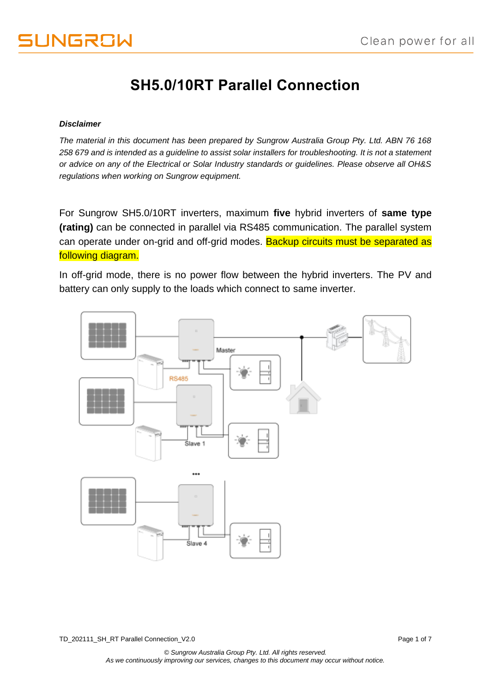# **SH5.0/10RT Parallel Connection**

#### *Disclaimer*

*The material in this document has been prepared by Sungrow Australia Group Pty. Ltd. ABN 76 168 258 679 and is intended as a guideline to assist solar installers for troubleshooting. It is not a statement or advice on any of the Electrical or Solar Industry standards or guidelines. Please observe all OH&S regulations when working on Sungrow equipment.*

For Sungrow SH5.0/10RT inverters, maximum **five** hybrid inverters of **same type (rating)** can be connected in parallel via RS485 communication. The parallel system can operate under on-grid and off-grid modes. Backup circuits must be separated as following diagram.

In off-grid mode, there is no power flow between the hybrid inverters. The PV and battery can only supply to the loads which connect to same inverter.

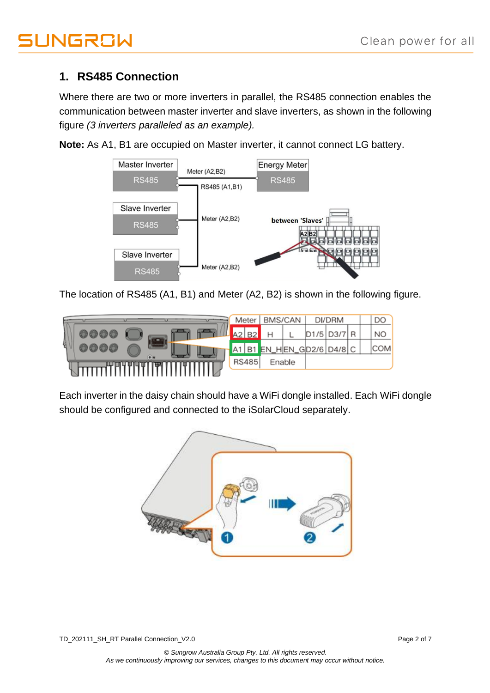## **1. RS485 Connection**

Where there are two or more inverters in parallel, the RS485 connection enables the communication between master inverter and slave inverters, as shown in the following figure *(3 inverters paralleled as an example).*

**Note:** As A1, B1 are occupied on Master inverter, it cannot connect LG battery.



The location of RS485 (A1, B1) and Meter (A2, B2) is shown in the following figure.



Each inverter in the daisy chain should have a WiFi dongle installed. Each WiFi dongle should be configured and connected to the iSolarCloud separately.



TD\_202111\_SH\_RT Parallel Connection\_V2.0 Page 2 of 7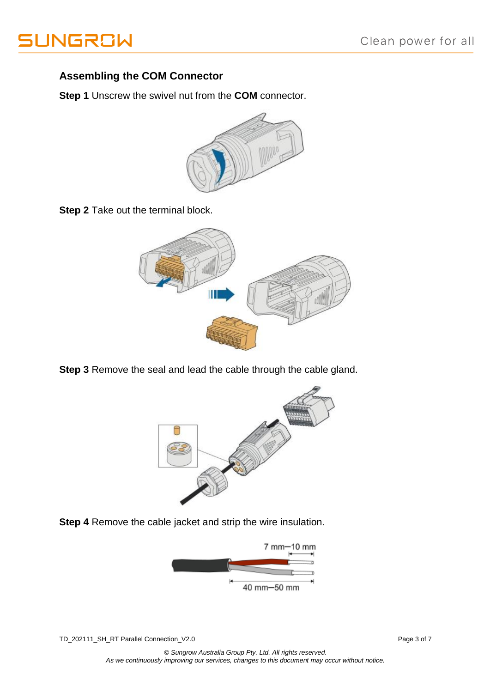

#### **Assembling the COM Connector**

**Step 1** Unscrew the swivel nut from the **COM** connector.



**Step 2** Take out the terminal block.



**Step 3** Remove the seal and lead the cable through the cable gland.



**Step 4** Remove the cable jacket and strip the wire insulation.



TD\_202111\_SH\_RT Parallel Connection\_V2.0 Page 3 of 7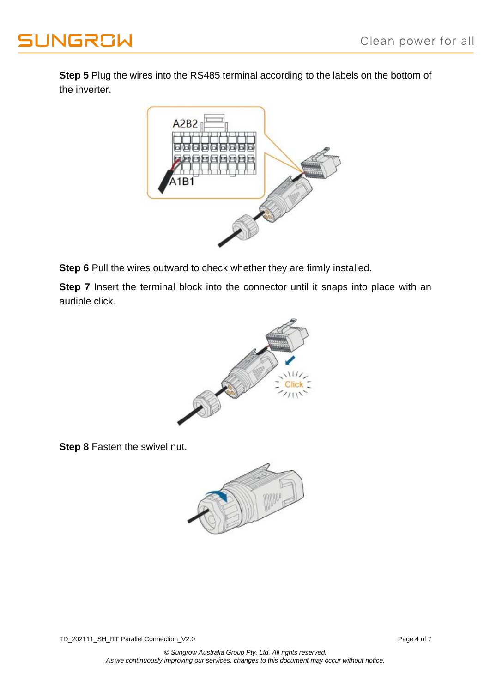

**Step 5** Plug the wires into the RS485 terminal according to the labels on the bottom of the inverter.



**Step 6** Pull the wires outward to check whether they are firmly installed.

**Step 7** Insert the terminal block into the connector until it snaps into place with an audible click.



**Step 8** Fasten the swivel nut.

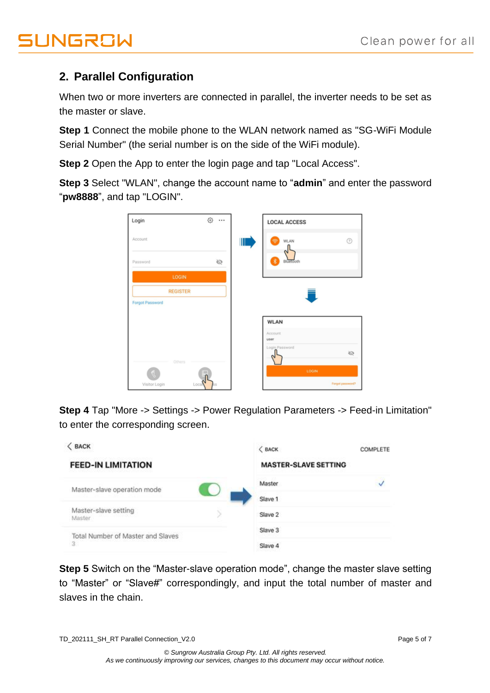## **2. Parallel Configuration**

When two or more inverters are connected in parallel, the inverter needs to be set as the master or slave.

**Step 1** Connect the mobile phone to the WLAN network named as "SG-WiFi Module Serial Number" (the serial number is on the side of the WiFi module).

**Step 2** Open the App to enter the login page and tap "Local Access".

**Step 3** Select "WLAN", change the account name to "**admin**" and enter the password "**pw8888**", and tap "LOGIN".

| Login                  | ⊙ … |   | <b>LOCAL ACCESS</b> |                  |
|------------------------|-----|---|---------------------|------------------|
| Account                |     | Ш | WLAN<br>⊜           | $^{\circ}$       |
| Password               | Ø   |   | 裳<br>Bluetooth      |                  |
| LOGIN                  |     |   |                     |                  |
| <b>REGISTER</b>        |     |   |                     |                  |
| <b>Forgot Password</b> |     |   |                     |                  |
|                        |     |   | <b>WLAN</b>         |                  |
|                        |     |   | Account<br>user     |                  |
| Others                 |     |   | Login Password      | Ø                |
|                        |     |   | LOGIN               |                  |
| Local<br>Visitor Login |     |   |                     | Forgot password? |

**Step 4** Tap "More -> Settings -> Power Regulation Parameters -> Feed-in Limitation" to enter the corresponding screen.



**Step 5** Switch on the "Master-slave operation mode", change the master slave setting to "Master" or "Slave#" correspondingly, and input the total number of master and slaves in the chain.

TD\_202111\_SH\_RT Parallel Connection\_V2.0 Page 5 of 7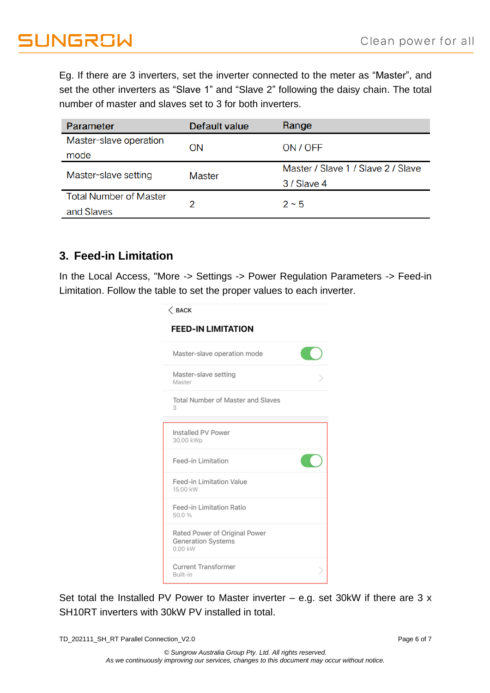Eg. If there are 3 inverters, set the inverter connected to the meter as "Master", and set the other inverters as "Slave 1" and "Slave 2" following the daisy chain. The total number of master and slaves set to 3 for both inverters.

| Parameter                     | Default value | Range                              |  |  |
|-------------------------------|---------------|------------------------------------|--|--|
| Master-slave operation        | ON            | ON / OFF                           |  |  |
| mode                          |               |                                    |  |  |
| Master-slave setting          | <b>Master</b> | Master / Slave 1 / Slave 2 / Slave |  |  |
|                               |               | 3 / Slave 4                        |  |  |
| <b>Total Number of Master</b> | 2             | $2 - 5$                            |  |  |
| and Slaves                    |               |                                    |  |  |

### **3. Feed-in Limitation**

In the Local Access, "More -> Settings -> Power Regulation Parameters -> Feed-in Limitation. Follow the table to set the proper values to each inverter.

| $\langle$ BACK<br><b>FEED-IN LIMITATION</b>                    |  |
|----------------------------------------------------------------|--|
| Master-slave operation mode                                    |  |
| Master-slave setting<br>Master                                 |  |
| Total Number of Master and Slaves<br>3                         |  |
| Installed PV Power<br>30.00 kWp                                |  |
| Feed-in Limitation                                             |  |
| Feed-in Limitation Value<br>15.00 kW                           |  |
| Feed-in Limitation Ratio<br>50.0%                              |  |
| Rated Power of Original Power<br>Generation Systems<br>0.00 kW |  |
| <b>Current Transformer</b><br>Built-in                         |  |

Set total the Installed PV Power to Master inverter – e.g. set 30kW if there are 3 x SH10RT inverters with 30kW PV installed in total.

TD\_202111\_SH\_RT Parallel Connection\_V2.0 Page 6 of 7